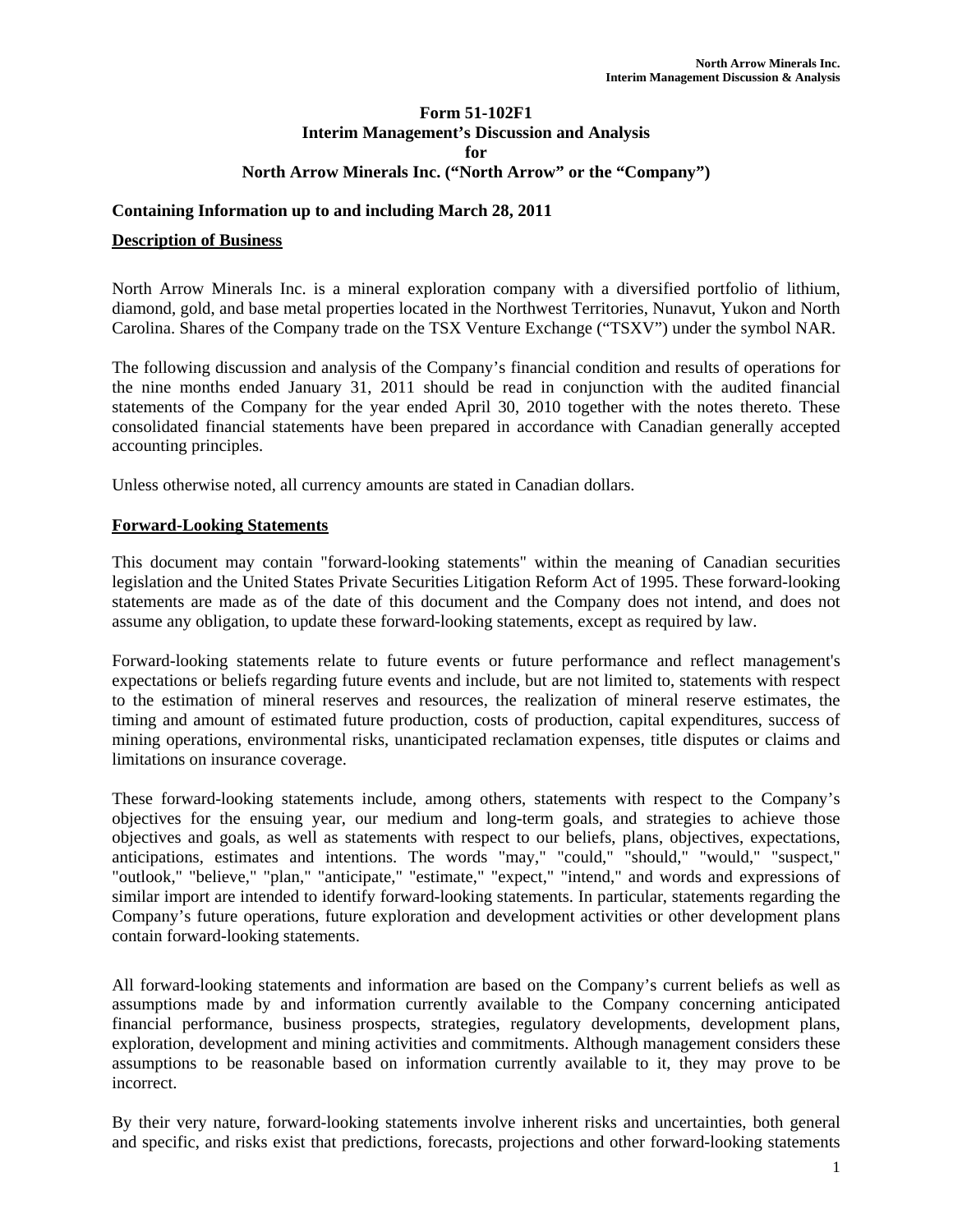### **Form 51-102F1 Interim Management's Discussion and Analysis for North Arrow Minerals Inc. ("North Arrow" or the "Company")**

### **Containing Information up to and including March 28, 2011**

#### **Description of Business**

North Arrow Minerals Inc. is a mineral exploration company with a diversified portfolio of lithium, diamond, gold, and base metal properties located in the Northwest Territories, Nunavut, Yukon and North Carolina. Shares of the Company trade on the TSX Venture Exchange ("TSXV") under the symbol NAR.

The following discussion and analysis of the Company's financial condition and results of operations for the nine months ended January 31, 2011 should be read in conjunction with the audited financial statements of the Company for the year ended April 30, 2010 together with the notes thereto. These consolidated financial statements have been prepared in accordance with Canadian generally accepted accounting principles.

Unless otherwise noted, all currency amounts are stated in Canadian dollars.

#### **Forward-Looking Statements**

This document may contain "forward-looking statements" within the meaning of Canadian securities legislation and the United States Private Securities Litigation Reform Act of 1995. These forward-looking statements are made as of the date of this document and the Company does not intend, and does not assume any obligation, to update these forward-looking statements, except as required by law.

Forward-looking statements relate to future events or future performance and reflect management's expectations or beliefs regarding future events and include, but are not limited to, statements with respect to the estimation of mineral reserves and resources, the realization of mineral reserve estimates, the timing and amount of estimated future production, costs of production, capital expenditures, success of mining operations, environmental risks, unanticipated reclamation expenses, title disputes or claims and limitations on insurance coverage.

These forward-looking statements include, among others, statements with respect to the Company's objectives for the ensuing year, our medium and long-term goals, and strategies to achieve those objectives and goals, as well as statements with respect to our beliefs, plans, objectives, expectations, anticipations, estimates and intentions. The words "may," "could," "should," "would," "suspect," "outlook," "believe," "plan," "anticipate," "estimate," "expect," "intend," and words and expressions of similar import are intended to identify forward-looking statements. In particular, statements regarding the Company's future operations, future exploration and development activities or other development plans contain forward-looking statements.

All forward-looking statements and information are based on the Company's current beliefs as well as assumptions made by and information currently available to the Company concerning anticipated financial performance, business prospects, strategies, regulatory developments, development plans, exploration, development and mining activities and commitments. Although management considers these assumptions to be reasonable based on information currently available to it, they may prove to be incorrect.

By their very nature, forward-looking statements involve inherent risks and uncertainties, both general and specific, and risks exist that predictions, forecasts, projections and other forward-looking statements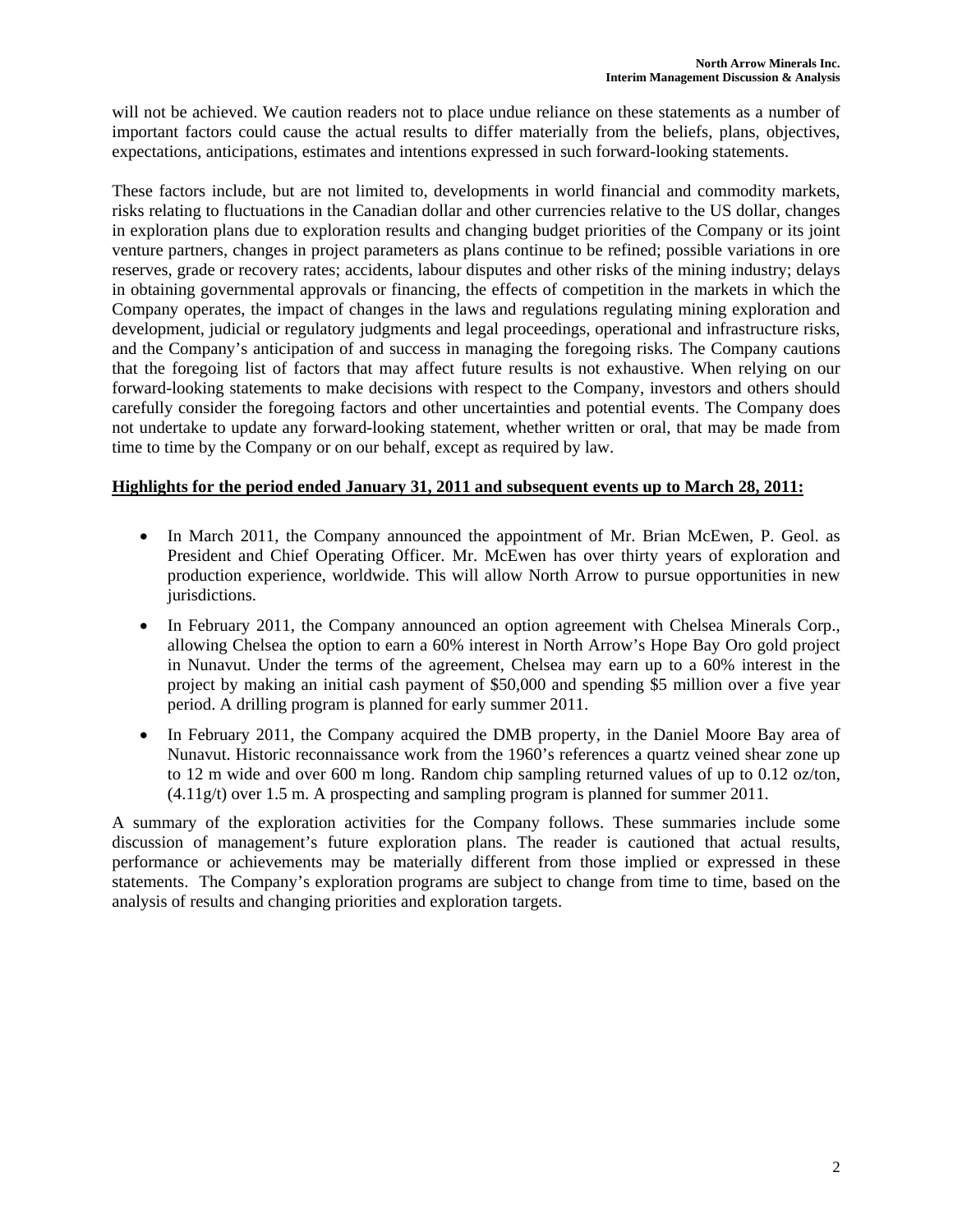will not be achieved. We caution readers not to place undue reliance on these statements as a number of important factors could cause the actual results to differ materially from the beliefs, plans, objectives, expectations, anticipations, estimates and intentions expressed in such forward-looking statements.

These factors include, but are not limited to, developments in world financial and commodity markets, risks relating to fluctuations in the Canadian dollar and other currencies relative to the US dollar, changes in exploration plans due to exploration results and changing budget priorities of the Company or its joint venture partners, changes in project parameters as plans continue to be refined; possible variations in ore reserves, grade or recovery rates; accidents, labour disputes and other risks of the mining industry; delays in obtaining governmental approvals or financing, the effects of competition in the markets in which the Company operates, the impact of changes in the laws and regulations regulating mining exploration and development, judicial or regulatory judgments and legal proceedings, operational and infrastructure risks, and the Company's anticipation of and success in managing the foregoing risks. The Company cautions that the foregoing list of factors that may affect future results is not exhaustive. When relying on our forward-looking statements to make decisions with respect to the Company, investors and others should carefully consider the foregoing factors and other uncertainties and potential events. The Company does not undertake to update any forward-looking statement, whether written or oral, that may be made from time to time by the Company or on our behalf, except as required by law.

### **Highlights for the period ended January 31, 2011 and subsequent events up to March 28, 2011:**

- In March 2011, the Company announced the appointment of Mr. Brian McEwen, P. Geol. as President and Chief Operating Officer. Mr. McEwen has over thirty years of exploration and production experience, worldwide. This will allow North Arrow to pursue opportunities in new jurisdictions.
- In February 2011, the Company announced an option agreement with Chelsea Minerals Corp., allowing Chelsea the option to earn a 60% interest in North Arrow's Hope Bay Oro gold project in Nunavut. Under the terms of the agreement, Chelsea may earn up to a 60% interest in the project by making an initial cash payment of \$50,000 and spending \$5 million over a five year period. A drilling program is planned for early summer 2011.
- In February 2011, the Company acquired the DMB property, in the Daniel Moore Bay area of Nunavut. Historic reconnaissance work from the 1960's references a quartz veined shear zone up to 12 m wide and over 600 m long. Random chip sampling returned values of up to 0.12 oz/ton, (4.11g/t) over 1.5 m. A prospecting and sampling program is planned for summer 2011.

A summary of the exploration activities for the Company follows. These summaries include some discussion of management's future exploration plans. The reader is cautioned that actual results, performance or achievements may be materially different from those implied or expressed in these statements. The Company's exploration programs are subject to change from time to time, based on the analysis of results and changing priorities and exploration targets.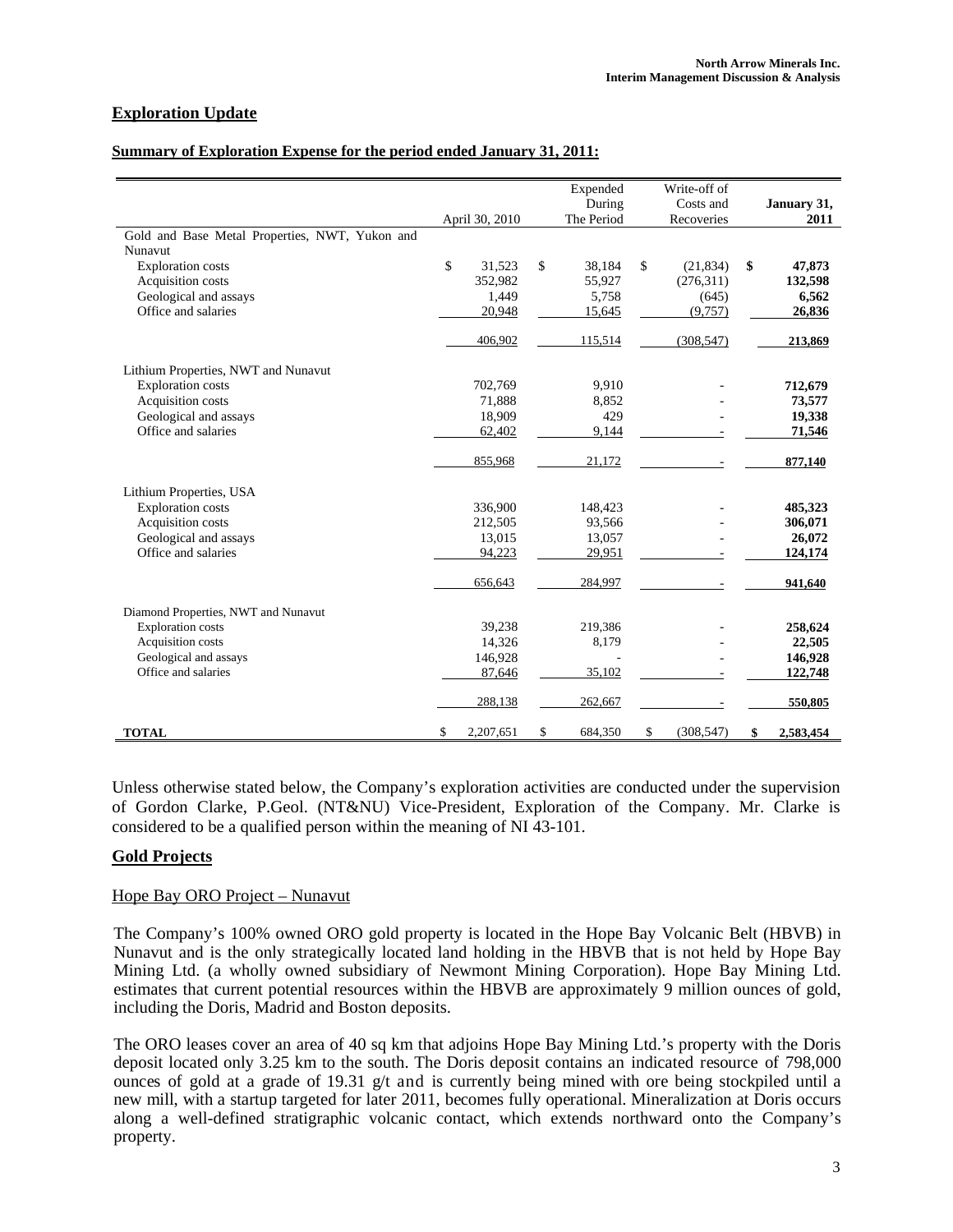# **Exploration Update**

#### **Summary of Exploration Expense for the period ended January 31, 2011:**

|                                                |                 | Expended      | Write-off of     |                 |
|------------------------------------------------|-----------------|---------------|------------------|-----------------|
|                                                |                 | During        | Costs and        | January 31,     |
|                                                | April 30, 2010  | The Period    | Recoveries       | 2011            |
| Gold and Base Metal Properties, NWT, Yukon and |                 |               |                  |                 |
| Nunavut                                        |                 |               |                  |                 |
| <b>Exploration</b> costs                       | \$<br>31,523    | \$<br>38,184  | \$<br>(21, 834)  | \$<br>47,873    |
| Acquisition costs                              | 352,982         | 55,927        | (276,311)        | 132,598         |
| Geological and assays                          | 1,449           | 5,758         | (645)            | 6,562           |
| Office and salaries                            | 20,948          | 15,645        | (9,757)          | 26,836          |
|                                                | 406,902         | 115,514       | (308, 547)       | 213,869         |
| Lithium Properties, NWT and Nunavut            |                 |               |                  |                 |
| <b>Exploration costs</b>                       | 702,769         | 9,910         |                  | 712,679         |
| Acquisition costs                              | 71,888          | 8,852         |                  | 73,577          |
| Geological and assays                          | 18,909          | 429           |                  | 19,338          |
| Office and salaries                            | 62,402          | 9,144         |                  | 71,546          |
|                                                | 855,968         | 21,172        |                  | 877,140         |
| Lithium Properties, USA                        |                 |               |                  |                 |
| <b>Exploration costs</b>                       | 336,900         | 148,423       |                  | 485,323         |
| Acquisition costs                              | 212,505         | 93,566        |                  | 306,071         |
| Geological and assays                          | 13,015          | 13,057        |                  | 26,072          |
| Office and salaries                            | 94,223          | 29,951        |                  | 124,174         |
|                                                | 656,643         | 284,997       |                  | 941,640         |
| Diamond Properties, NWT and Nunavut            |                 |               |                  |                 |
| <b>Exploration</b> costs                       | 39,238          | 219,386       |                  | 258,624         |
| Acquisition costs                              | 14,326          | 8,179         |                  | 22,505          |
| Geological and assays                          | 146,928         |               |                  | 146,928         |
| Office and salaries                            | 87,646          | 35,102        |                  | 122,748         |
|                                                | 288,138         | 262,667       |                  | 550,805         |
| <b>TOTAL</b>                                   | \$<br>2,207,651 | \$<br>684,350 | \$<br>(308, 547) | \$<br>2,583,454 |

Unless otherwise stated below, the Company's exploration activities are conducted under the supervision of Gordon Clarke, P.Geol. (NT&NU) Vice-President, Exploration of the Company. Mr. Clarke is considered to be a qualified person within the meaning of NI 43-101.

#### **Gold Projects**

#### Hope Bay ORO Project – Nunavut

The Company's 100% owned ORO gold property is located in the Hope Bay Volcanic Belt (HBVB) in Nunavut and is the only strategically located land holding in the HBVB that is not held by Hope Bay Mining Ltd. (a wholly owned subsidiary of Newmont Mining Corporation). Hope Bay Mining Ltd. estimates that current potential resources within the HBVB are approximately 9 million ounces of gold, including the Doris, Madrid and Boston deposits.

The ORO leases cover an area of 40 sq km that adjoins Hope Bay Mining Ltd.'s property with the Doris deposit located only 3.25 km to the south. The Doris deposit contains an indicated resource of 798,000 ounces of gold at a grade of 19.31 g/t and is currently being mined with ore being stockpiled until a new mill, with a startup targeted for later 2011, becomes fully operational. Mineralization at Doris occurs along a well-defined stratigraphic volcanic contact, which extends northward onto the Company's property.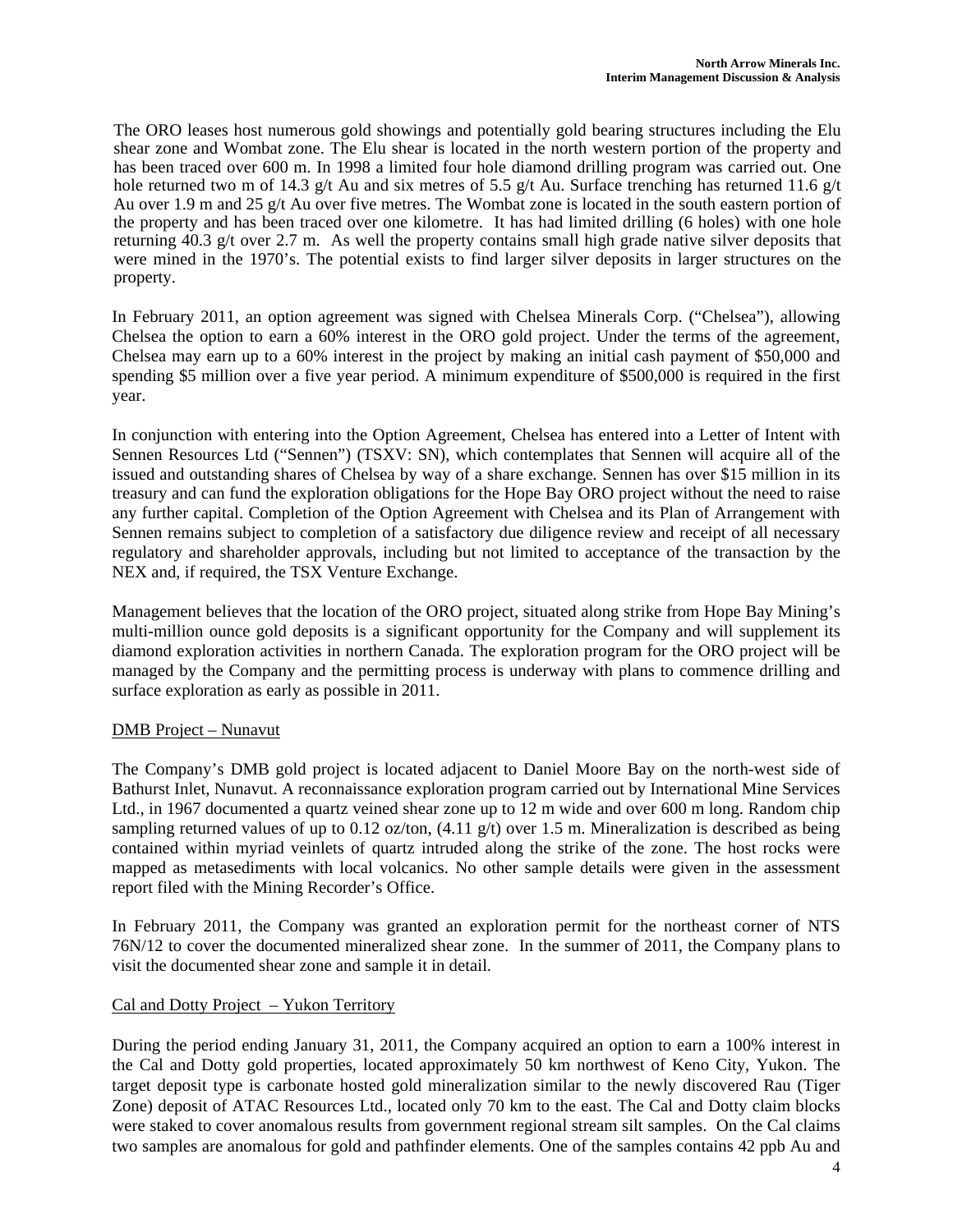The ORO leases host numerous gold showings and potentially gold bearing structures including the Elu shear zone and Wombat zone. The Elu shear is located in the north western portion of the property and has been traced over 600 m. In 1998 a limited four hole diamond drilling program was carried out. One hole returned two m of 14.3 g/t Au and six metres of 5.5 g/t Au. Surface trenching has returned 11.6 g/t Au over 1.9 m and 25 g/t Au over five metres. The Wombat zone is located in the south eastern portion of the property and has been traced over one kilometre. It has had limited drilling (6 holes) with one hole returning 40.3 g/t over 2.7 m. As well the property contains small high grade native silver deposits that were mined in the 1970's. The potential exists to find larger silver deposits in larger structures on the property.

In February 2011, an option agreement was signed with Chelsea Minerals Corp. ("Chelsea"), allowing Chelsea the option to earn a 60% interest in the ORO gold project. Under the terms of the agreement, Chelsea may earn up to a 60% interest in the project by making an initial cash payment of \$50,000 and spending \$5 million over a five year period. A minimum expenditure of \$500,000 is required in the first year.

In conjunction with entering into the Option Agreement, Chelsea has entered into a Letter of Intent with Sennen Resources Ltd ("Sennen") (TSXV: SN), which contemplates that Sennen will acquire all of the issued and outstanding shares of Chelsea by way of a share exchange*.* Sennen has over \$15 million in its treasury and can fund the exploration obligations for the Hope Bay ORO project without the need to raise any further capital. Completion of the Option Agreement with Chelsea and its Plan of Arrangement with Sennen remains subject to completion of a satisfactory due diligence review and receipt of all necessary regulatory and shareholder approvals, including but not limited to acceptance of the transaction by the NEX and, if required, the TSX Venture Exchange.

Management believes that the location of the ORO project, situated along strike from Hope Bay Mining's multi-million ounce gold deposits is a significant opportunity for the Company and will supplement its diamond exploration activities in northern Canada. The exploration program for the ORO project will be managed by the Company and the permitting process is underway with plans to commence drilling and surface exploration as early as possible in 2011.

### DMB Project – Nunavut

The Company's DMB gold project is located adjacent to Daniel Moore Bay on the north-west side of Bathurst Inlet, Nunavut. A reconnaissance exploration program carried out by International Mine Services Ltd., in 1967 documented a quartz veined shear zone up to 12 m wide and over 600 m long. Random chip sampling returned values of up to 0.12 oz/ton,  $(4.11 \text{ g/t})$  over 1.5 m. Mineralization is described as being contained within myriad veinlets of quartz intruded along the strike of the zone. The host rocks were mapped as metasediments with local volcanics. No other sample details were given in the assessment report filed with the Mining Recorder's Office.

In February 2011, the Company was granted an exploration permit for the northeast corner of NTS 76N/12 to cover the documented mineralized shear zone. In the summer of 2011, the Company plans to visit the documented shear zone and sample it in detail.

# Cal and Dotty Project – Yukon Territory

During the period ending January 31, 2011, the Company acquired an option to earn a 100% interest in the Cal and Dotty gold properties, located approximately 50 km northwest of Keno City, Yukon. The target deposit type is carbonate hosted gold mineralization similar to the newly discovered Rau (Tiger Zone) deposit of ATAC Resources Ltd., located only 70 km to the east. The Cal and Dotty claim blocks were staked to cover anomalous results from government regional stream silt samples. On the Cal claims two samples are anomalous for gold and pathfinder elements. One of the samples contains 42 ppb Au and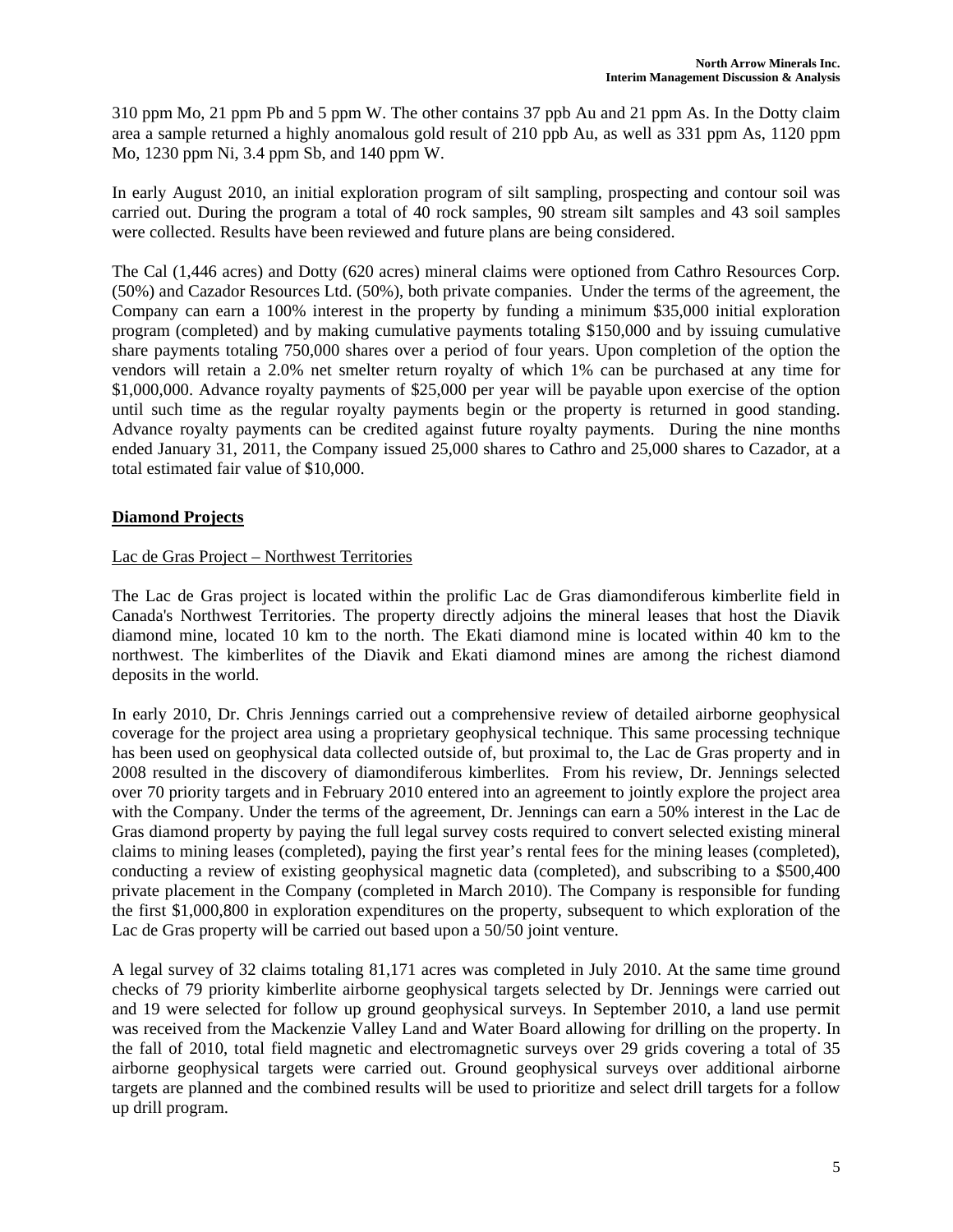310 ppm Mo, 21 ppm Pb and 5 ppm W. The other contains 37 ppb Au and 21 ppm As. In the Dotty claim area a sample returned a highly anomalous gold result of 210 ppb Au, as well as 331 ppm As, 1120 ppm Mo, 1230 ppm Ni, 3.4 ppm Sb, and 140 ppm W.

In early August 2010, an initial exploration program of silt sampling, prospecting and contour soil was carried out. During the program a total of 40 rock samples, 90 stream silt samples and 43 soil samples were collected. Results have been reviewed and future plans are being considered.

The Cal (1,446 acres) and Dotty (620 acres) mineral claims were optioned from Cathro Resources Corp. (50%) and Cazador Resources Ltd. (50%), both private companies. Under the terms of the agreement, the Company can earn a 100% interest in the property by funding a minimum \$35,000 initial exploration program (completed) and by making cumulative payments totaling \$150,000 and by issuing cumulative share payments totaling 750,000 shares over a period of four years. Upon completion of the option the vendors will retain a 2.0% net smelter return royalty of which 1% can be purchased at any time for \$1,000,000. Advance royalty payments of \$25,000 per year will be payable upon exercise of the option until such time as the regular royalty payments begin or the property is returned in good standing. Advance royalty payments can be credited against future royalty payments. During the nine months ended January 31, 2011, the Company issued 25,000 shares to Cathro and 25,000 shares to Cazador, at a total estimated fair value of \$10,000.

# **Diamond Projects**

### Lac de Gras Project – Northwest Territories

The Lac de Gras project is located within the prolific Lac de Gras diamondiferous kimberlite field in Canada's Northwest Territories. The property directly adjoins the mineral leases that host the Diavik diamond mine, located 10 km to the north. The Ekati diamond mine is located within 40 km to the northwest. The kimberlites of the Diavik and Ekati diamond mines are among the richest diamond deposits in the world.

In early 2010, Dr. Chris Jennings carried out a comprehensive review of detailed airborne geophysical coverage for the project area using a proprietary geophysical technique. This same processing technique has been used on geophysical data collected outside of, but proximal to, the Lac de Gras property and in 2008 resulted in the discovery of diamondiferous kimberlites. From his review, Dr. Jennings selected over 70 priority targets and in February 2010 entered into an agreement to jointly explore the project area with the Company. Under the terms of the agreement, Dr. Jennings can earn a 50% interest in the Lac de Gras diamond property by paying the full legal survey costs required to convert selected existing mineral claims to mining leases (completed), paying the first year's rental fees for the mining leases (completed), conducting a review of existing geophysical magnetic data (completed), and subscribing to a \$500,400 private placement in the Company (completed in March 2010). The Company is responsible for funding the first \$1,000,800 in exploration expenditures on the property, subsequent to which exploration of the Lac de Gras property will be carried out based upon a 50/50 joint venture.

A legal survey of 32 claims totaling 81,171 acres was completed in July 2010. At the same time ground checks of 79 priority kimberlite airborne geophysical targets selected by Dr. Jennings were carried out and 19 were selected for follow up ground geophysical surveys. In September 2010, a land use permit was received from the Mackenzie Valley Land and Water Board allowing for drilling on the property. In the fall of 2010, total field magnetic and electromagnetic surveys over 29 grids covering a total of 35 airborne geophysical targets were carried out. Ground geophysical surveys over additional airborne targets are planned and the combined results will be used to prioritize and select drill targets for a follow up drill program.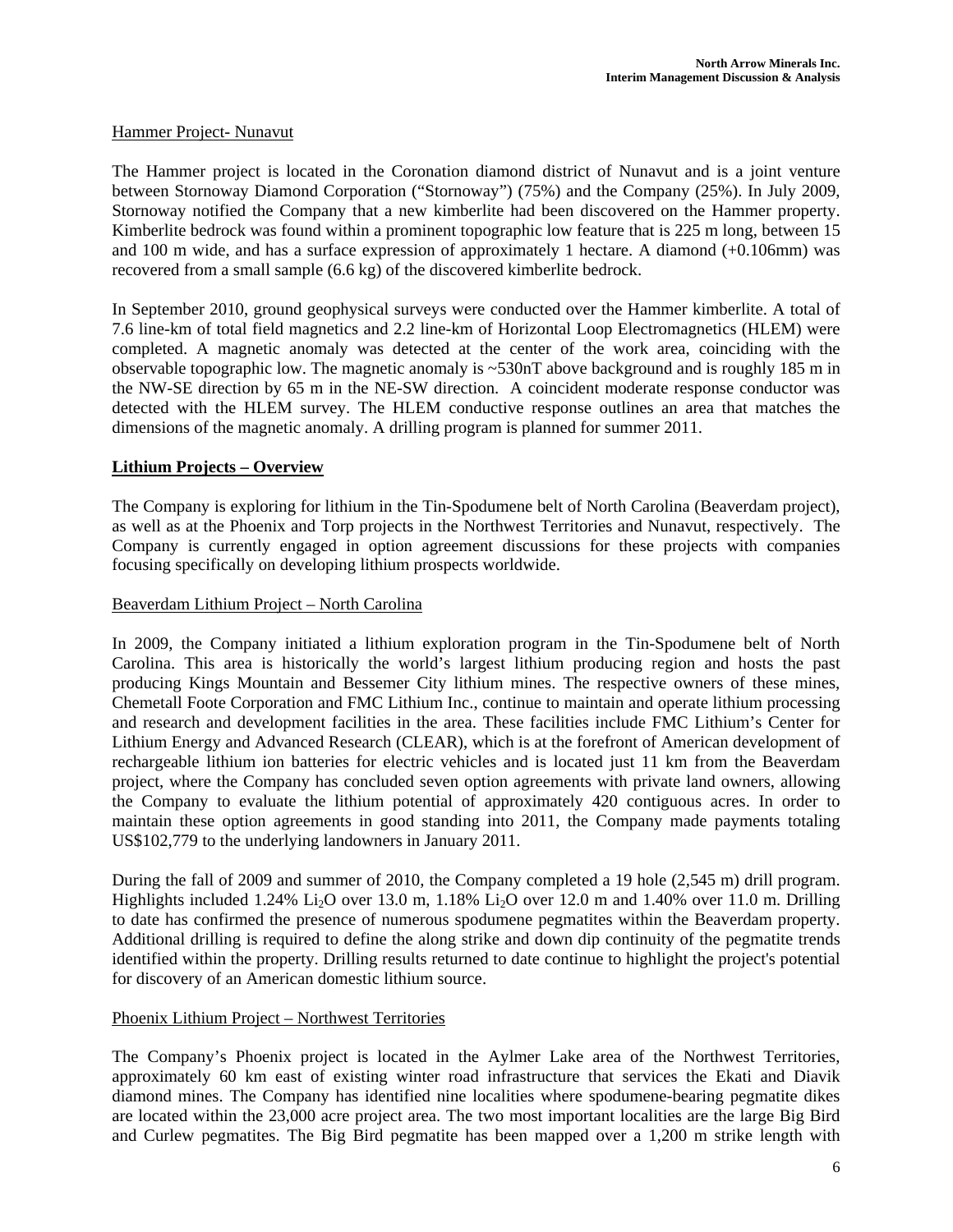### Hammer Project- Nunavut

The Hammer project is located in the Coronation diamond district of Nunavut and is a joint venture between Stornoway Diamond Corporation ("Stornoway") (75%) and the Company (25%). In July 2009, Stornoway notified the Company that a new kimberlite had been discovered on the Hammer property. Kimberlite bedrock was found within a prominent topographic low feature that is 225 m long, between 15 and 100 m wide, and has a surface expression of approximately 1 hectare. A diamond (+0.106mm) was recovered from a small sample (6.6 kg) of the discovered kimberlite bedrock.

In September 2010, ground geophysical surveys were conducted over the Hammer kimberlite. A total of 7.6 line-km of total field magnetics and 2.2 line-km of Horizontal Loop Electromagnetics (HLEM) were completed. A magnetic anomaly was detected at the center of the work area, coinciding with the observable topographic low. The magnetic anomaly is ~530nT above background and is roughly 185 m in the NW-SE direction by 65 m in the NE-SW direction. A coincident moderate response conductor was detected with the HLEM survey. The HLEM conductive response outlines an area that matches the dimensions of the magnetic anomaly. A drilling program is planned for summer 2011.

### **Lithium Projects – Overview**

The Company is exploring for lithium in the Tin-Spodumene belt of North Carolina (Beaverdam project), as well as at the Phoenix and Torp projects in the Northwest Territories and Nunavut, respectively. The Company is currently engaged in option agreement discussions for these projects with companies focusing specifically on developing lithium prospects worldwide.

### Beaverdam Lithium Project – North Carolina

In 2009, the Company initiated a lithium exploration program in the Tin-Spodumene belt of North Carolina. This area is historically the world's largest lithium producing region and hosts the past producing Kings Mountain and Bessemer City lithium mines. The respective owners of these mines, Chemetall Foote Corporation and FMC Lithium Inc., continue to maintain and operate lithium processing and research and development facilities in the area. These facilities include FMC Lithium's Center for Lithium Energy and Advanced Research (CLEAR), which is at the forefront of American development of rechargeable lithium ion batteries for electric vehicles and is located just 11 km from the Beaverdam project, where the Company has concluded seven option agreements with private land owners, allowing the Company to evaluate the lithium potential of approximately 420 contiguous acres. In order to maintain these option agreements in good standing into 2011, the Company made payments totaling US\$102,779 to the underlying landowners in January 2011.

During the fall of 2009 and summer of 2010, the Company completed a 19 hole (2,545 m) drill program. Highlights included 1.24% Li<sub>2</sub>O over 13.0 m, 1.18% Li<sub>2</sub>O over 12.0 m and 1.40% over 11.0 m. Drilling to date has confirmed the presence of numerous spodumene pegmatites within the Beaverdam property. Additional drilling is required to define the along strike and down dip continuity of the pegmatite trends identified within the property. Drilling results returned to date continue to highlight the project's potential for discovery of an American domestic lithium source.

### Phoenix Lithium Project – Northwest Territories

The Company's Phoenix project is located in the Aylmer Lake area of the Northwest Territories, approximately 60 km east of existing winter road infrastructure that services the Ekati and Diavik diamond mines. The Company has identified nine localities where spodumene-bearing pegmatite dikes are located within the 23,000 acre project area. The two most important localities are the large Big Bird and Curlew pegmatites. The Big Bird pegmatite has been mapped over a 1,200 m strike length with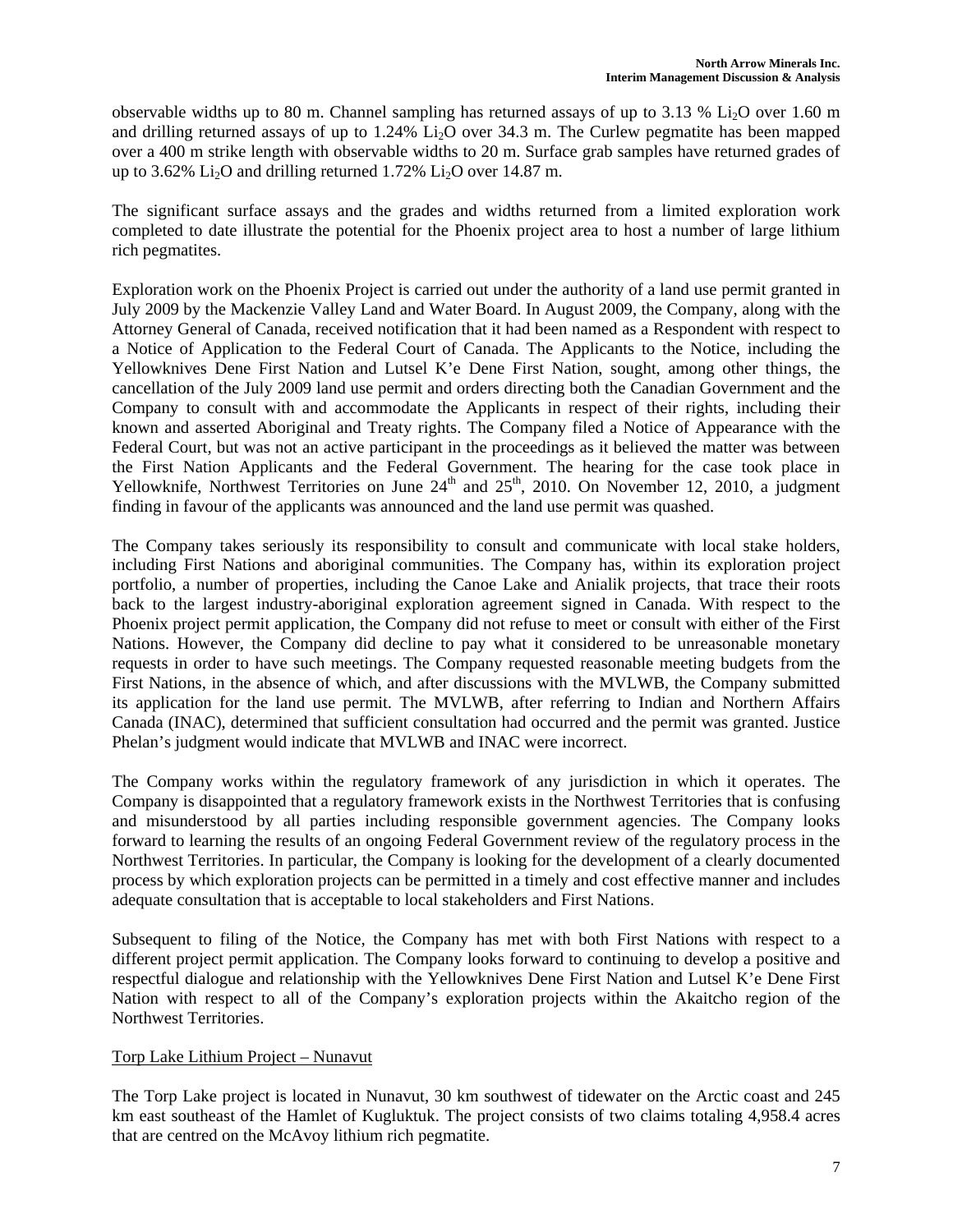observable widths up to 80 m. Channel sampling has returned assays of up to 3.13 %  $Li<sub>2</sub>O$  over 1.60 m and drilling returned assays of up to  $1.24\%$  Li<sub>2</sub>O over 34.3 m. The Curlew pegmatite has been mapped over a 400 m strike length with observable widths to 20 m. Surface grab samples have returned grades of up to 3.62% Li<sub>2</sub>O and drilling returned 1.72% Li<sub>2</sub>O over 14.87 m.

The significant surface assays and the grades and widths returned from a limited exploration work completed to date illustrate the potential for the Phoenix project area to host a number of large lithium rich pegmatites.

Exploration work on the Phoenix Project is carried out under the authority of a land use permit granted in July 2009 by the Mackenzie Valley Land and Water Board. In August 2009, the Company, along with the Attorney General of Canada, received notification that it had been named as a Respondent with respect to a Notice of Application to the Federal Court of Canada. The Applicants to the Notice, including the Yellowknives Dene First Nation and Lutsel K'e Dene First Nation, sought, among other things, the cancellation of the July 2009 land use permit and orders directing both the Canadian Government and the Company to consult with and accommodate the Applicants in respect of their rights, including their known and asserted Aboriginal and Treaty rights. The Company filed a Notice of Appearance with the Federal Court, but was not an active participant in the proceedings as it believed the matter was between the First Nation Applicants and the Federal Government. The hearing for the case took place in Yellowknife, Northwest Territories on June  $24<sup>th</sup>$  and  $25<sup>th</sup>$ , 2010. On November 12, 2010, a judgment finding in favour of the applicants was announced and the land use permit was quashed.

The Company takes seriously its responsibility to consult and communicate with local stake holders, including First Nations and aboriginal communities. The Company has, within its exploration project portfolio, a number of properties, including the Canoe Lake and Anialik projects, that trace their roots back to the largest industry-aboriginal exploration agreement signed in Canada. With respect to the Phoenix project permit application, the Company did not refuse to meet or consult with either of the First Nations. However, the Company did decline to pay what it considered to be unreasonable monetary requests in order to have such meetings. The Company requested reasonable meeting budgets from the First Nations, in the absence of which, and after discussions with the MVLWB, the Company submitted its application for the land use permit. The MVLWB, after referring to Indian and Northern Affairs Canada (INAC), determined that sufficient consultation had occurred and the permit was granted. Justice Phelan's judgment would indicate that MVLWB and INAC were incorrect.

The Company works within the regulatory framework of any jurisdiction in which it operates. The Company is disappointed that a regulatory framework exists in the Northwest Territories that is confusing and misunderstood by all parties including responsible government agencies. The Company looks forward to learning the results of an ongoing Federal Government review of the regulatory process in the Northwest Territories. In particular, the Company is looking for the development of a clearly documented process by which exploration projects can be permitted in a timely and cost effective manner and includes adequate consultation that is acceptable to local stakeholders and First Nations.

Subsequent to filing of the Notice, the Company has met with both First Nations with respect to a different project permit application. The Company looks forward to continuing to develop a positive and respectful dialogue and relationship with the Yellowknives Dene First Nation and Lutsel K'e Dene First Nation with respect to all of the Company's exploration projects within the Akaitcho region of the Northwest Territories.

### Torp Lake Lithium Project – Nunavut

The Torp Lake project is located in Nunavut, 30 km southwest of tidewater on the Arctic coast and 245 km east southeast of the Hamlet of Kugluktuk. The project consists of two claims totaling 4,958.4 acres that are centred on the McAvoy lithium rich pegmatite.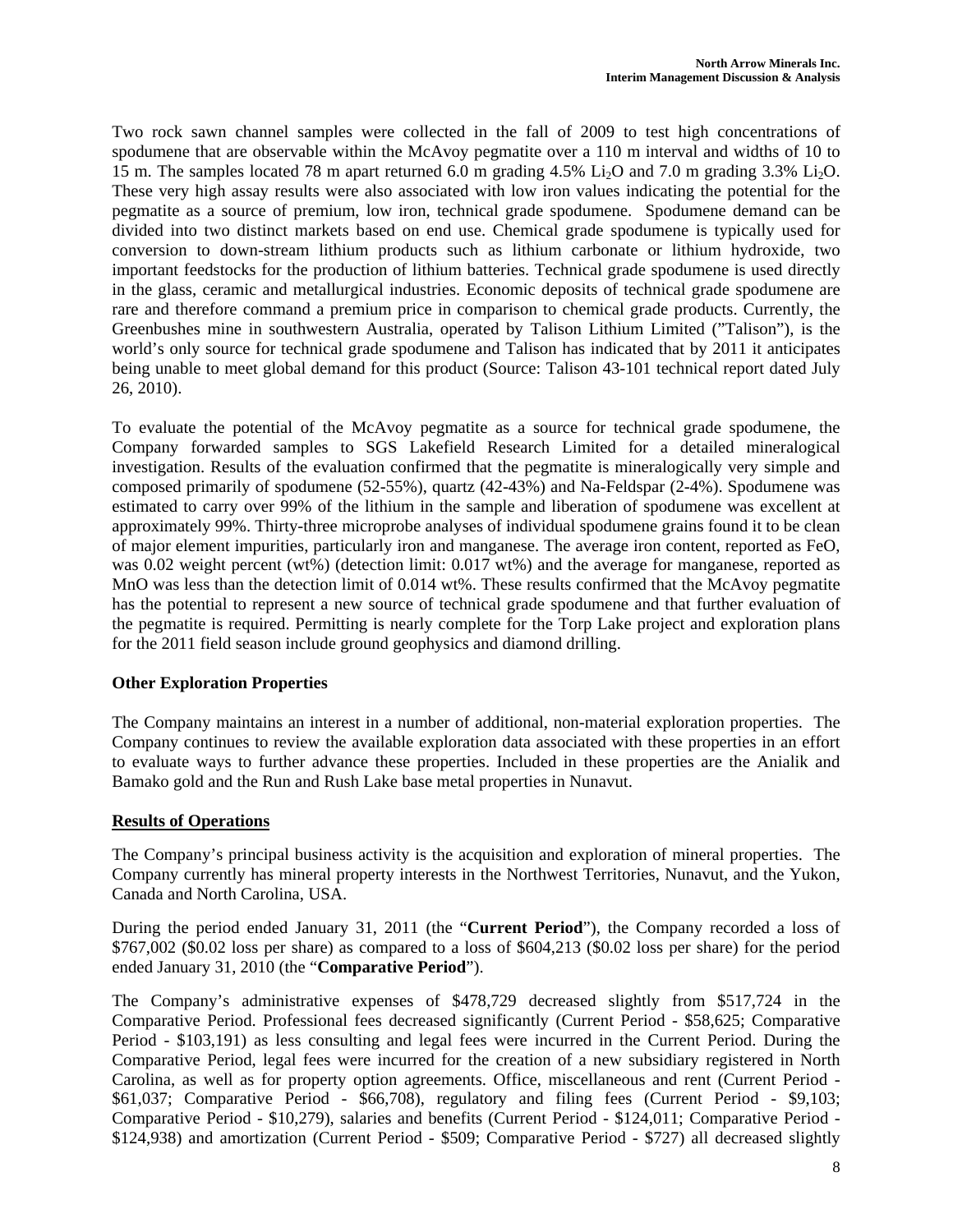Two rock sawn channel samples were collected in the fall of 2009 to test high concentrations of spodumene that are observable within the McAvoy pegmatite over a 110 m interval and widths of 10 to 15 m. The samples located 78 m apart returned 6.0 m grading 4.5% Li<sub>2</sub>O and 7.0 m grading 3.3% Li<sub>2</sub>O. These very high assay results were also associated with low iron values indicating the potential for the pegmatite as a source of premium, low iron, technical grade spodumene. Spodumene demand can be divided into two distinct markets based on end use. Chemical grade spodumene is typically used for conversion to down-stream lithium products such as lithium carbonate or lithium hydroxide, two important feedstocks for the production of lithium batteries. Technical grade spodumene is used directly in the glass, ceramic and metallurgical industries. Economic deposits of technical grade spodumene are rare and therefore command a premium price in comparison to chemical grade products. Currently, the Greenbushes mine in southwestern Australia, operated by Talison Lithium Limited ("Talison"), is the world's only source for technical grade spodumene and Talison has indicated that by 2011 it anticipates being unable to meet global demand for this product (Source: Talison 43-101 technical report dated July 26, 2010).

To evaluate the potential of the McAvoy pegmatite as a source for technical grade spodumene, the Company forwarded samples to SGS Lakefield Research Limited for a detailed mineralogical investigation. Results of the evaluation confirmed that the pegmatite is mineralogically very simple and composed primarily of spodumene (52-55%), quartz (42-43%) and Na-Feldspar (2-4%). Spodumene was estimated to carry over 99% of the lithium in the sample and liberation of spodumene was excellent at approximately 99%. Thirty-three microprobe analyses of individual spodumene grains found it to be clean of major element impurities, particularly iron and manganese. The average iron content, reported as FeO, was 0.02 weight percent (wt%) (detection limit: 0.017 wt%) and the average for manganese, reported as MnO was less than the detection limit of 0.014 wt%. These results confirmed that the McAvoy pegmatite has the potential to represent a new source of technical grade spodumene and that further evaluation of the pegmatite is required. Permitting is nearly complete for the Torp Lake project and exploration plans for the 2011 field season include ground geophysics and diamond drilling.

# **Other Exploration Properties**

The Company maintains an interest in a number of additional, non-material exploration properties. The Company continues to review the available exploration data associated with these properties in an effort to evaluate ways to further advance these properties. Included in these properties are the Anialik and Bamako gold and the Run and Rush Lake base metal properties in Nunavut.

# **Results of Operations**

The Company's principal business activity is the acquisition and exploration of mineral properties. The Company currently has mineral property interests in the Northwest Territories, Nunavut, and the Yukon, Canada and North Carolina, USA.

During the period ended January 31, 2011 (the "**Current Period**"), the Company recorded a loss of \$767,002 (\$0.02 loss per share) as compared to a loss of \$604,213 (\$0.02 loss per share) for the period ended January 31, 2010 (the "**Comparative Period**").

The Company's administrative expenses of \$478,729 decreased slightly from \$517,724 in the Comparative Period. Professional fees decreased significantly (Current Period - \$58,625; Comparative Period - \$103,191) as less consulting and legal fees were incurred in the Current Period. During the Comparative Period, legal fees were incurred for the creation of a new subsidiary registered in North Carolina, as well as for property option agreements. Office, miscellaneous and rent (Current Period - \$61,037; Comparative Period - \$66,708), regulatory and filing fees (Current Period - \$9,103; Comparative Period - \$10,279), salaries and benefits (Current Period - \$124,011; Comparative Period - \$124,938) and amortization (Current Period - \$509; Comparative Period - \$727) all decreased slightly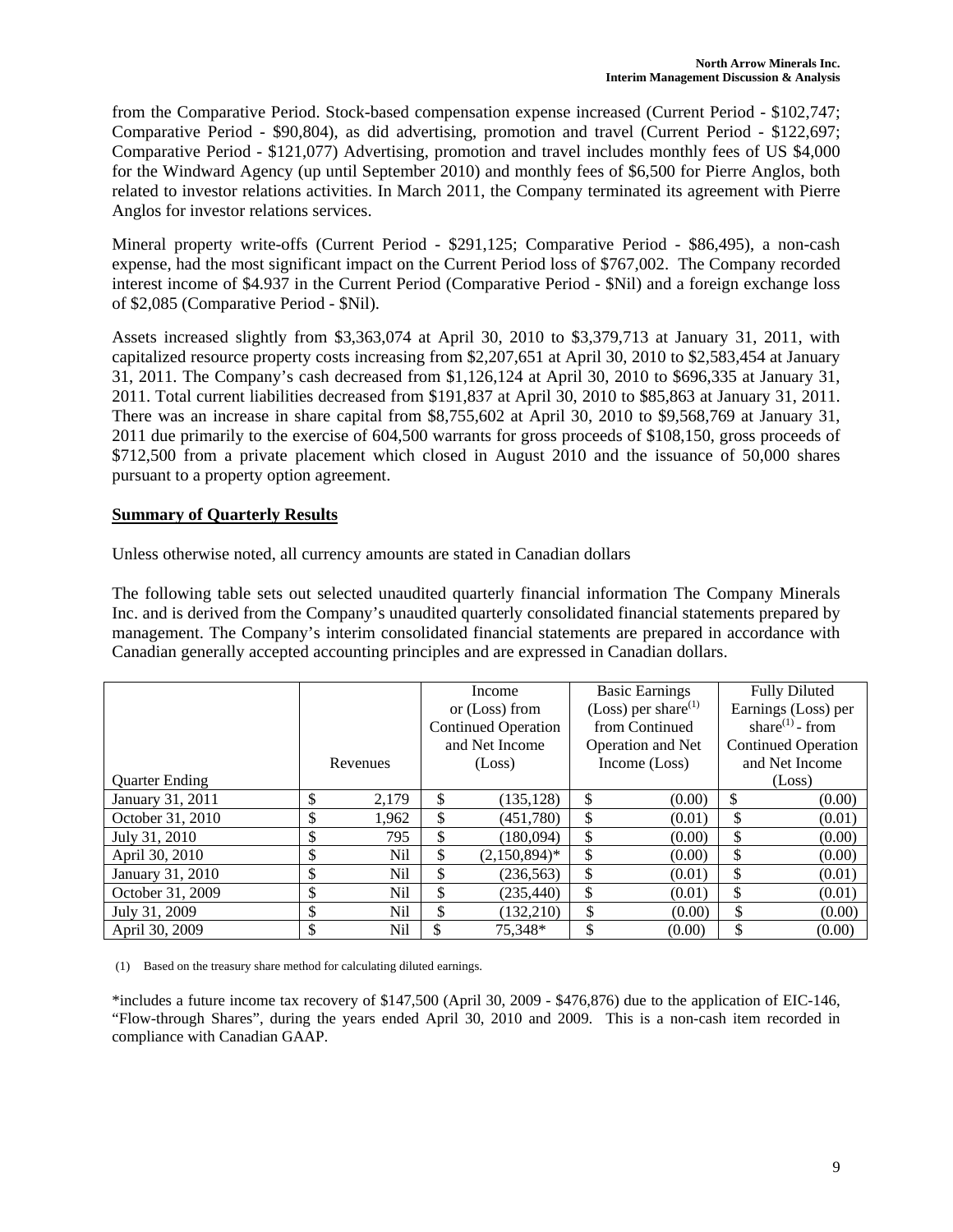from the Comparative Period. Stock-based compensation expense increased (Current Period - \$102,747; Comparative Period - \$90,804), as did advertising, promotion and travel (Current Period - \$122,697; Comparative Period - \$121,077) Advertising, promotion and travel includes monthly fees of US \$4,000 for the Windward Agency (up until September 2010) and monthly fees of \$6,500 for Pierre Anglos, both related to investor relations activities. In March 2011, the Company terminated its agreement with Pierre Anglos for investor relations services.

Mineral property write-offs (Current Period - \$291,125; Comparative Period - \$86,495), a non-cash expense, had the most significant impact on the Current Period loss of \$767,002. The Company recorded interest income of \$4.937 in the Current Period (Comparative Period - \$Nil) and a foreign exchange loss of \$2,085 (Comparative Period - \$Nil).

Assets increased slightly from \$3,363,074 at April 30, 2010 to \$3,379,713 at January 31, 2011, with capitalized resource property costs increasing from \$2,207,651 at April 30, 2010 to \$2,583,454 at January 31, 2011. The Company's cash decreased from \$1,126,124 at April 30, 2010 to \$696,335 at January 31, 2011. Total current liabilities decreased from \$191,837 at April 30, 2010 to \$85,863 at January 31, 2011. There was an increase in share capital from \$8,755,602 at April 30, 2010 to \$9,568,769 at January 31, 2011 due primarily to the exercise of 604,500 warrants for gross proceeds of \$108,150, gross proceeds of \$712,500 from a private placement which closed in August 2010 and the issuance of 50,000 shares pursuant to a property option agreement.

### **Summary of Quarterly Results**

Unless otherwise noted, all currency amounts are stated in Canadian dollars

The following table sets out selected unaudited quarterly financial information The Company Minerals Inc. and is derived from the Company's unaudited quarterly consolidated financial statements prepared by management. The Company's interim consolidated financial statements are prepared in accordance with Canadian generally accepted accounting principles and are expressed in Canadian dollars.

|                       |             |                            | Income          |                   | <b>Basic Earnings</b>           |                            | <b>Fully Diluted</b> |
|-----------------------|-------------|----------------------------|-----------------|-------------------|---------------------------------|----------------------------|----------------------|
|                       |             |                            | or (Loss) from  |                   | (Loss) per share <sup>(1)</sup> |                            | Earnings (Loss) per  |
|                       |             | <b>Continued Operation</b> |                 | from Continued    |                                 | share $^{(1)}$ - from      |                      |
|                       |             | and Net Income             |                 | Operation and Net |                                 | <b>Continued Operation</b> |                      |
|                       | Revenues    | (Loss)                     |                 | Income (Loss)     |                                 | and Net Income             |                      |
| <b>Ouarter Ending</b> |             |                            |                 |                   |                                 |                            | (Loss)               |
| January 31, 2011      | \$<br>2,179 | \$                         | (135, 128)      | \$                | (0.00)                          | \$                         | (0.00)               |
| October 31, 2010      | \$<br>1,962 | \$                         | (451,780)       | \$                | (0.01)                          | \$                         | (0.01)               |
| July 31, 2010         | \$<br>795   | \$                         | (180,094)       | \$                | (0.00)                          | \$                         | (0.00)               |
| April 30, 2010        | \$<br>Nil   | \$                         | $(2,150,894)^*$ | \$                | (0.00)                          | \$                         | (0.00)               |
| January 31, 2010      | \$<br>Nil   | \$                         | (236, 563)      | \$                | (0.01)                          | \$                         | (0.01)               |
| October 31, 2009      | \$<br>Nil   | \$                         | (235, 440)      | \$                | (0.01)                          | \$                         | (0.01)               |
| July 31, 2009         | \$<br>Nil   | \$                         | (132,210)       | \$                | (0.00)                          | \$                         | (0.00)               |
| April 30, 2009        | \$<br>Nil   | \$                         | 75.348*         | \$                | (0.00)                          | \$                         | (0.00)               |

(1) Based on the treasury share method for calculating diluted earnings.

\*includes a future income tax recovery of \$147,500 (April 30, 2009 - \$476,876) due to the application of EIC-146, "Flow-through Shares", during the years ended April 30, 2010 and 2009. This is a non-cash item recorded in compliance with Canadian GAAP.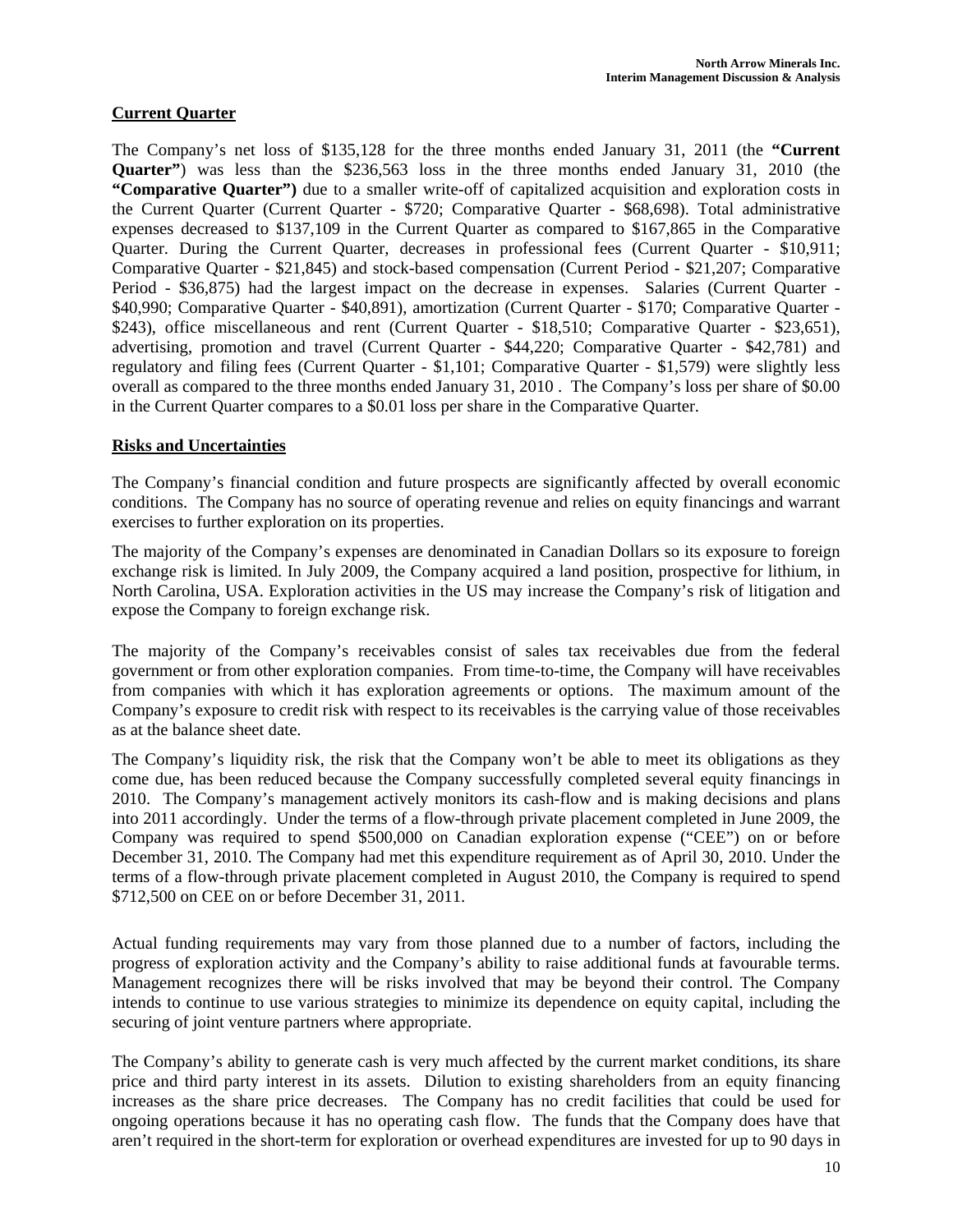# **Current Quarter**

The Company's net loss of \$135,128 for the three months ended January 31, 2011 (the **"Current Quarter"**) was less than the \$236,563 loss in the three months ended January 31, 2010 (the **"Comparative Quarter")** due to a smaller write-off of capitalized acquisition and exploration costs in the Current Quarter (Current Quarter - \$720; Comparative Quarter - \$68,698). Total administrative expenses decreased to \$137,109 in the Current Quarter as compared to \$167,865 in the Comparative Quarter. During the Current Quarter, decreases in professional fees (Current Quarter - \$10,911; Comparative Quarter - \$21,845) and stock-based compensation (Current Period - \$21,207; Comparative Period - \$36,875) had the largest impact on the decrease in expenses. Salaries (Current Quarter - \$40,990; Comparative Quarter - \$40,891), amortization (Current Quarter - \$170; Comparative Quarter - \$243), office miscellaneous and rent (Current Quarter - \$18,510; Comparative Quarter - \$23,651), advertising, promotion and travel (Current Quarter - \$44,220; Comparative Quarter - \$42,781) and regulatory and filing fees (Current Quarter - \$1,101; Comparative Quarter - \$1,579) were slightly less overall as compared to the three months ended January 31, 2010 . The Company's loss per share of \$0.00 in the Current Quarter compares to a \$0.01 loss per share in the Comparative Quarter.

### **Risks and Uncertainties**

The Company's financial condition and future prospects are significantly affected by overall economic conditions. The Company has no source of operating revenue and relies on equity financings and warrant exercises to further exploration on its properties.

The majority of the Company's expenses are denominated in Canadian Dollars so its exposure to foreign exchange risk is limited. In July 2009, the Company acquired a land position, prospective for lithium, in North Carolina, USA. Exploration activities in the US may increase the Company's risk of litigation and expose the Company to foreign exchange risk.

The majority of the Company's receivables consist of sales tax receivables due from the federal government or from other exploration companies. From time-to-time, the Company will have receivables from companies with which it has exploration agreements or options. The maximum amount of the Company's exposure to credit risk with respect to its receivables is the carrying value of those receivables as at the balance sheet date.

The Company's liquidity risk, the risk that the Company won't be able to meet its obligations as they come due, has been reduced because the Company successfully completed several equity financings in 2010. The Company's management actively monitors its cash-flow and is making decisions and plans into 2011 accordingly. Under the terms of a flow-through private placement completed in June 2009, the Company was required to spend \$500,000 on Canadian exploration expense ("CEE") on or before December 31, 2010. The Company had met this expenditure requirement as of April 30, 2010. Under the terms of a flow-through private placement completed in August 2010, the Company is required to spend \$712,500 on CEE on or before December 31, 2011.

Actual funding requirements may vary from those planned due to a number of factors, including the progress of exploration activity and the Company's ability to raise additional funds at favourable terms. Management recognizes there will be risks involved that may be beyond their control. The Company intends to continue to use various strategies to minimize its dependence on equity capital, including the securing of joint venture partners where appropriate.

The Company's ability to generate cash is very much affected by the current market conditions, its share price and third party interest in its assets. Dilution to existing shareholders from an equity financing increases as the share price decreases. The Company has no credit facilities that could be used for ongoing operations because it has no operating cash flow. The funds that the Company does have that aren't required in the short-term for exploration or overhead expenditures are invested for up to 90 days in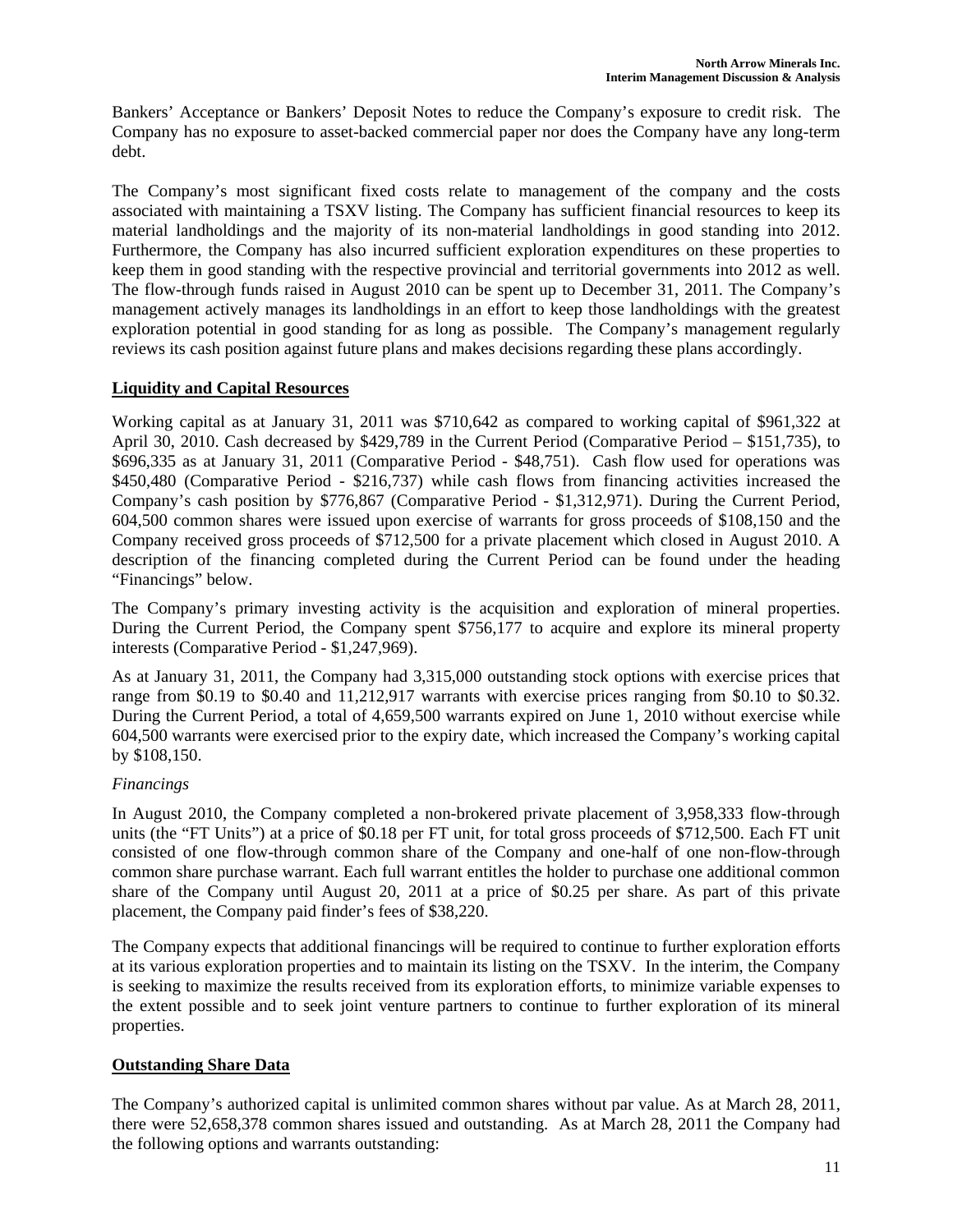Bankers' Acceptance or Bankers' Deposit Notes to reduce the Company's exposure to credit risk. The Company has no exposure to asset-backed commercial paper nor does the Company have any long-term debt.

The Company's most significant fixed costs relate to management of the company and the costs associated with maintaining a TSXV listing. The Company has sufficient financial resources to keep its material landholdings and the majority of its non-material landholdings in good standing into 2012. Furthermore, the Company has also incurred sufficient exploration expenditures on these properties to keep them in good standing with the respective provincial and territorial governments into 2012 as well. The flow-through funds raised in August 2010 can be spent up to December 31, 2011. The Company's management actively manages its landholdings in an effort to keep those landholdings with the greatest exploration potential in good standing for as long as possible. The Company's management regularly reviews its cash position against future plans and makes decisions regarding these plans accordingly.

# **Liquidity and Capital Resources**

Working capital as at January 31, 2011 was \$710,642 as compared to working capital of \$961,322 at April 30, 2010. Cash decreased by \$429,789 in the Current Period (Comparative Period – \$151,735), to \$696,335 as at January 31, 2011 (Comparative Period - \$48,751). Cash flow used for operations was \$450,480 (Comparative Period - \$216,737) while cash flows from financing activities increased the Company's cash position by \$776,867 (Comparative Period - \$1,312,971). During the Current Period, 604,500 common shares were issued upon exercise of warrants for gross proceeds of \$108,150 and the Company received gross proceeds of \$712,500 for a private placement which closed in August 2010. A description of the financing completed during the Current Period can be found under the heading "Financings" below.

The Company's primary investing activity is the acquisition and exploration of mineral properties. During the Current Period, the Company spent \$756,177 to acquire and explore its mineral property interests (Comparative Period - \$1,247,969).

As at January 31, 2011, the Company had 3,315,000 outstanding stock options with exercise prices that range from \$0.19 to \$0.40 and 11,212,917 warrants with exercise prices ranging from \$0.10 to \$0.32. During the Current Period, a total of 4,659,500 warrants expired on June 1, 2010 without exercise while 604,500 warrants were exercised prior to the expiry date, which increased the Company's working capital by \$108,150.

# *Financings*

In August 2010, the Company completed a non-brokered private placement of 3,958,333 flow-through units (the "FT Units") at a price of \$0.18 per FT unit, for total gross proceeds of \$712,500. Each FT unit consisted of one flow-through common share of the Company and one-half of one non-flow-through common share purchase warrant. Each full warrant entitles the holder to purchase one additional common share of the Company until August 20, 2011 at a price of \$0.25 per share. As part of this private placement, the Company paid finder's fees of \$38,220.

The Company expects that additional financings will be required to continue to further exploration efforts at its various exploration properties and to maintain its listing on the TSXV. In the interim, the Company is seeking to maximize the results received from its exploration efforts, to minimize variable expenses to the extent possible and to seek joint venture partners to continue to further exploration of its mineral properties.

# **Outstanding Share Data**

The Company's authorized capital is unlimited common shares without par value. As at March 28, 2011, there were 52,658,378 common shares issued and outstanding. As at March 28, 2011 the Company had the following options and warrants outstanding: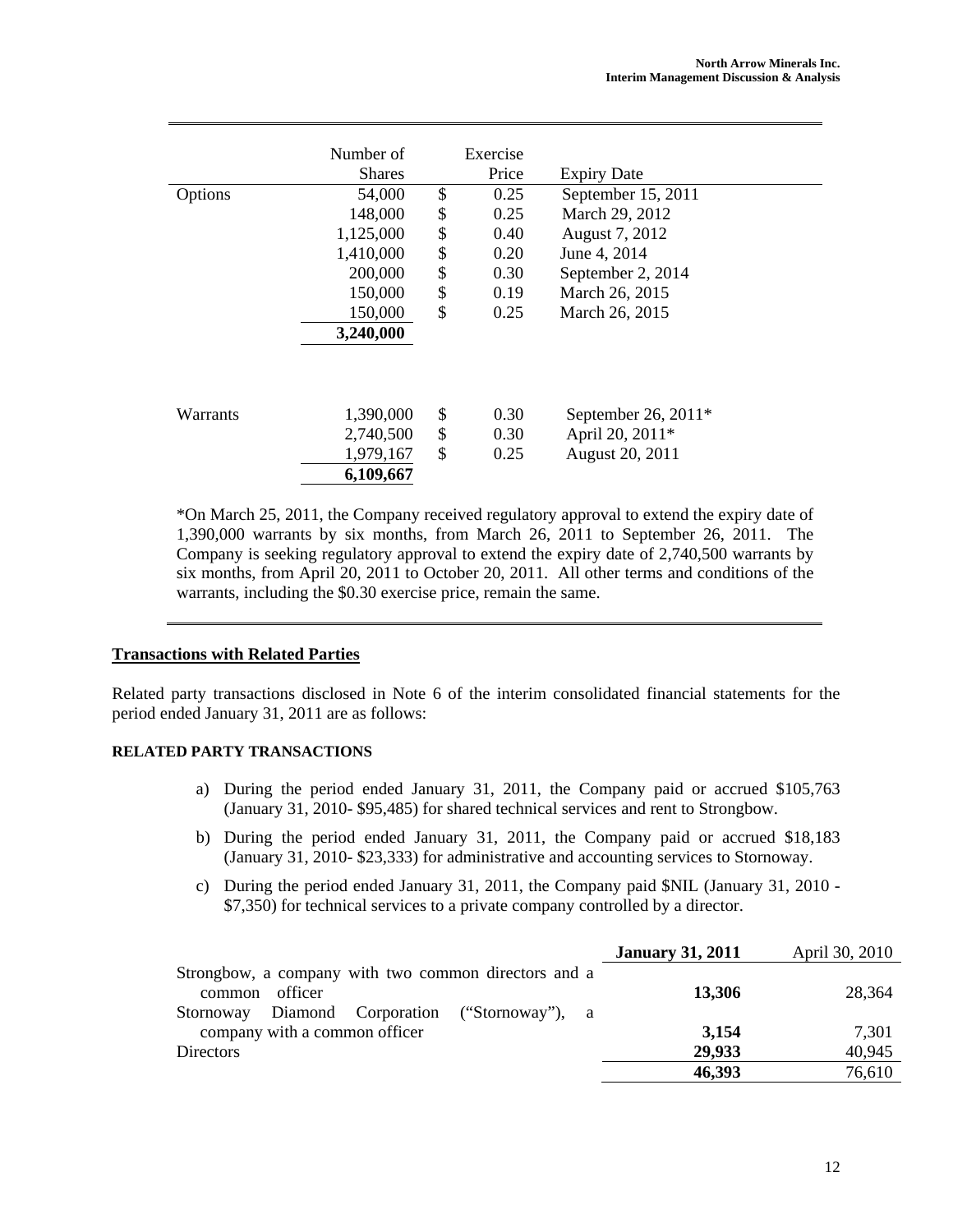|          | Number of     | Exercise   |                       |  |
|----------|---------------|------------|-----------------------|--|
|          | <b>Shares</b> | Price      | <b>Expiry Date</b>    |  |
| Options  | 54,000        | \$<br>0.25 | September 15, 2011    |  |
|          | 148,000       | \$<br>0.25 | March 29, 2012        |  |
|          | 1,125,000     | \$<br>0.40 | August 7, 2012        |  |
|          | 1,410,000     | \$<br>0.20 | June 4, 2014          |  |
|          | 200,000       | \$<br>0.30 | September 2, 2014     |  |
|          | 150,000       | \$<br>0.19 | March 26, 2015        |  |
|          | 150,000       | \$<br>0.25 | March 26, 2015        |  |
|          | 3,240,000     |            |                       |  |
|          |               |            |                       |  |
|          |               |            |                       |  |
| Warrants | 1,390,000     | \$<br>0.30 | September 26, $2011*$ |  |
|          | 2,740,500     | \$<br>0.30 | April 20, 2011*       |  |
|          | 1,979,167     | \$<br>0.25 | August 20, 2011       |  |
|          | 6,109,667     |            |                       |  |

\*On March 25, 2011, the Company received regulatory approval to extend the expiry date of 1,390,000 warrants by six months, from March 26, 2011 to September 26, 2011. The Company is seeking regulatory approval to extend the expiry date of 2,740,500 warrants by six months, from April 20, 2011 to October 20, 2011. All other terms and conditions of the warrants, including the \$0.30 exercise price, remain the same.

### **Transactions with Related Parties**

Related party transactions disclosed in Note 6 of the interim consolidated financial statements for the period ended January 31, 2011 are as follows:

### **RELATED PARTY TRANSACTIONS**

- a) During the period ended January 31, 2011, the Company paid or accrued \$105,763 (January 31, 2010- \$95,485) for shared technical services and rent to Strongbow.
- b) During the period ended January 31, 2011, the Company paid or accrued \$18,183 (January 31, 2010- \$23,333) for administrative and accounting services to Stornoway.
- c) During the period ended January 31, 2011, the Company paid \$NIL (January 31, 2010 \$7,350) for technical services to a private company controlled by a director.

|                                                                           | <b>January 31, 2011</b> | April 30, 2010 |
|---------------------------------------------------------------------------|-------------------------|----------------|
| Strongbow, a company with two common directors and a<br>officer<br>common | 13,306                  | 28,364         |
| Diamond Corporation ("Stornoway"), a<br>Stornoway                         |                         |                |
| company with a common officer                                             | 3,154                   | 7,301          |
| <b>Directors</b>                                                          | 29,933                  | 40,945         |
|                                                                           | 46,393                  | 76,610         |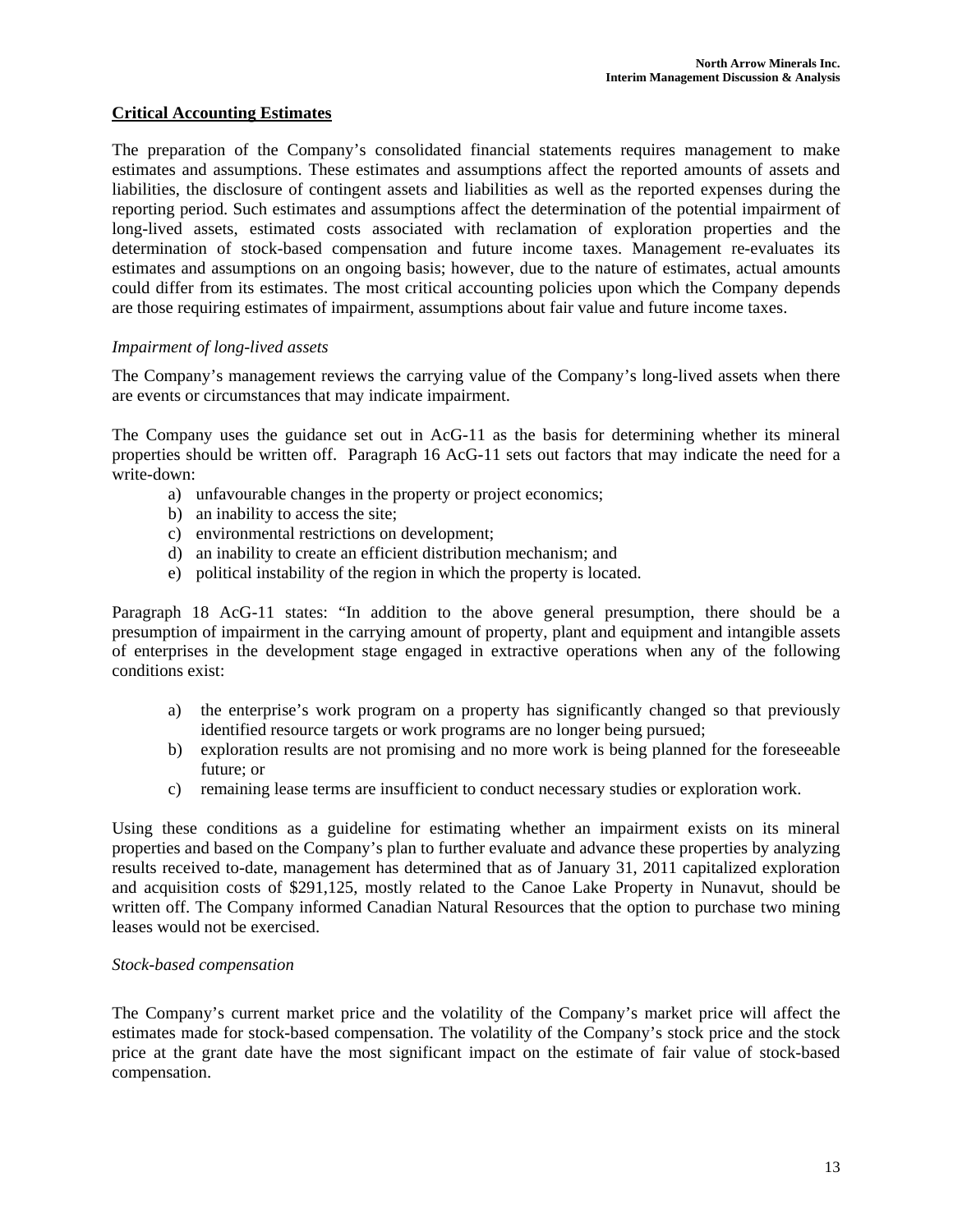### **Critical Accounting Estimates**

The preparation of the Company's consolidated financial statements requires management to make estimates and assumptions. These estimates and assumptions affect the reported amounts of assets and liabilities, the disclosure of contingent assets and liabilities as well as the reported expenses during the reporting period. Such estimates and assumptions affect the determination of the potential impairment of long-lived assets, estimated costs associated with reclamation of exploration properties and the determination of stock-based compensation and future income taxes. Management re-evaluates its estimates and assumptions on an ongoing basis; however, due to the nature of estimates, actual amounts could differ from its estimates. The most critical accounting policies upon which the Company depends are those requiring estimates of impairment, assumptions about fair value and future income taxes.

### *Impairment of long-lived assets*

The Company's management reviews the carrying value of the Company's long-lived assets when there are events or circumstances that may indicate impairment.

The Company uses the guidance set out in AcG-11 as the basis for determining whether its mineral properties should be written off. Paragraph 16 AcG-11 sets out factors that may indicate the need for a write-down:

- a) unfavourable changes in the property or project economics;
- b) an inability to access the site;
- c) environmental restrictions on development;
- d) an inability to create an efficient distribution mechanism; and
- e) political instability of the region in which the property is located.

Paragraph 18 AcG-11 states: "In addition to the above general presumption, there should be a presumption of impairment in the carrying amount of property, plant and equipment and intangible assets of enterprises in the development stage engaged in extractive operations when any of the following conditions exist:

- a) the enterprise's work program on a property has significantly changed so that previously identified resource targets or work programs are no longer being pursued;
- b) exploration results are not promising and no more work is being planned for the foreseeable future; or
- c) remaining lease terms are insufficient to conduct necessary studies or exploration work.

Using these conditions as a guideline for estimating whether an impairment exists on its mineral properties and based on the Company's plan to further evaluate and advance these properties by analyzing results received to-date, management has determined that as of January 31, 2011 capitalized exploration and acquisition costs of \$291,125, mostly related to the Canoe Lake Property in Nunavut, should be written off. The Company informed Canadian Natural Resources that the option to purchase two mining leases would not be exercised.

#### *Stock-based compensation*

The Company's current market price and the volatility of the Company's market price will affect the estimates made for stock-based compensation. The volatility of the Company's stock price and the stock price at the grant date have the most significant impact on the estimate of fair value of stock-based compensation.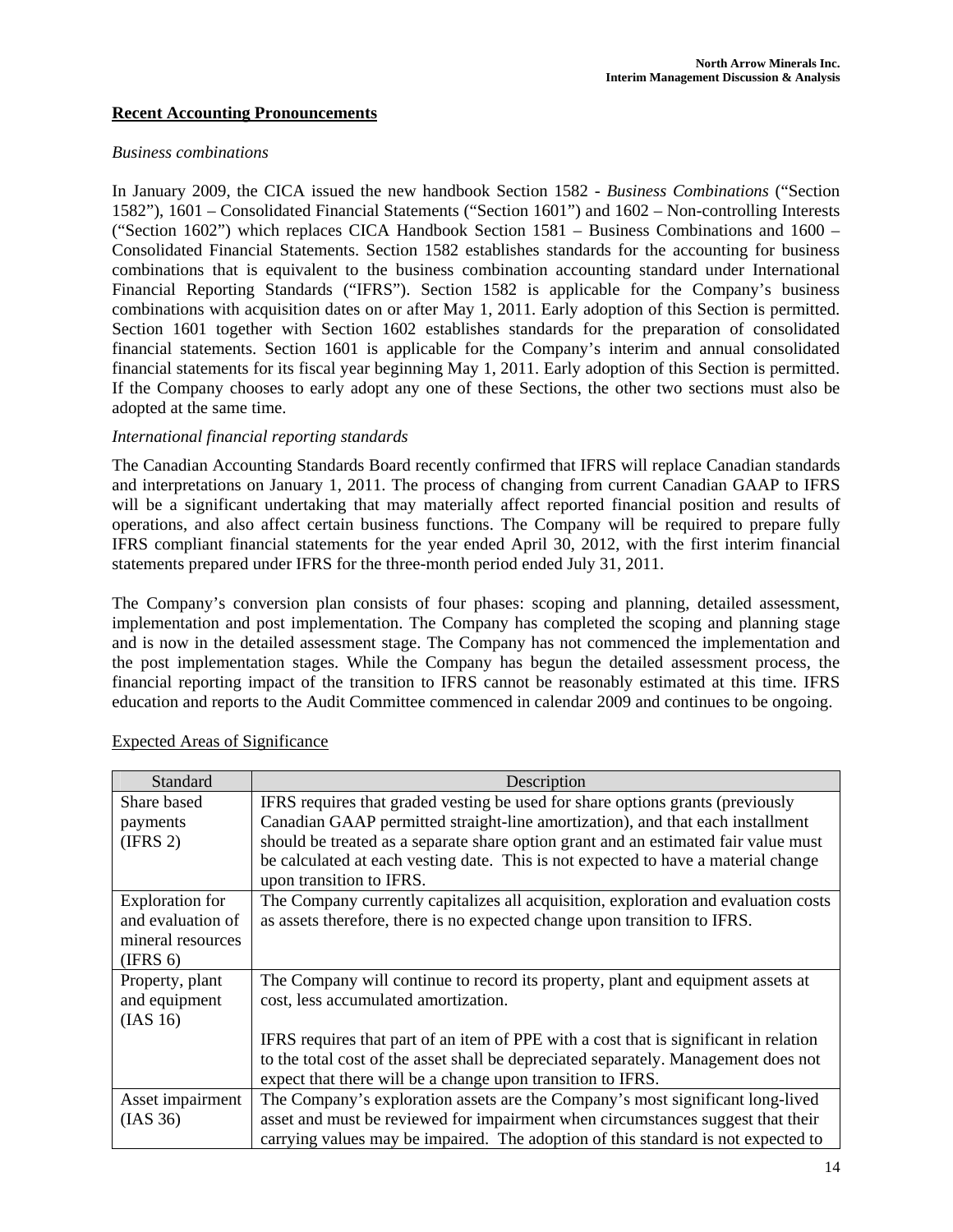### **Recent Accounting Pronouncements**

#### *Business combinations*

In January 2009, the CICA issued the new handbook Section 1582 - *Business Combinations* ("Section 1582"), 1601 – Consolidated Financial Statements ("Section 1601") and 1602 – Non-controlling Interests ("Section 1602") which replaces CICA Handbook Section 1581 – Business Combinations and 1600 – Consolidated Financial Statements. Section 1582 establishes standards for the accounting for business combinations that is equivalent to the business combination accounting standard under International Financial Reporting Standards ("IFRS"). Section 1582 is applicable for the Company's business combinations with acquisition dates on or after May 1, 2011. Early adoption of this Section is permitted. Section 1601 together with Section 1602 establishes standards for the preparation of consolidated financial statements. Section 1601 is applicable for the Company's interim and annual consolidated financial statements for its fiscal year beginning May 1, 2011. Early adoption of this Section is permitted. If the Company chooses to early adopt any one of these Sections, the other two sections must also be adopted at the same time.

#### *International financial reporting standards*

The Canadian Accounting Standards Board recently confirmed that IFRS will replace Canadian standards and interpretations on January 1, 2011. The process of changing from current Canadian GAAP to IFRS will be a significant undertaking that may materially affect reported financial position and results of operations, and also affect certain business functions. The Company will be required to prepare fully IFRS compliant financial statements for the year ended April 30, 2012, with the first interim financial statements prepared under IFRS for the three-month period ended July 31, 2011.

The Company's conversion plan consists of four phases: scoping and planning, detailed assessment, implementation and post implementation. The Company has completed the scoping and planning stage and is now in the detailed assessment stage. The Company has not commenced the implementation and the post implementation stages. While the Company has begun the detailed assessment process, the financial reporting impact of the transition to IFRS cannot be reasonably estimated at this time. IFRS education and reports to the Audit Committee commenced in calendar 2009 and continues to be ongoing.

| Standard               | Description                                                                           |
|------------------------|---------------------------------------------------------------------------------------|
| Share based            | IFRS requires that graded vesting be used for share options grants (previously        |
| payments               | Canadian GAAP permitted straight-line amortization), and that each installment        |
| (IFRS 2)               | should be treated as a separate share option grant and an estimated fair value must   |
|                        | be calculated at each vesting date. This is not expected to have a material change    |
|                        | upon transition to IFRS.                                                              |
| <b>Exploration</b> for | The Company currently capitalizes all acquisition, exploration and evaluation costs   |
| and evaluation of      | as assets therefore, there is no expected change upon transition to IFRS.             |
| mineral resources      |                                                                                       |
| (IFRS 6)               |                                                                                       |
| Property, plant        | The Company will continue to record its property, plant and equipment assets at       |
| and equipment          | cost, less accumulated amortization.                                                  |
| (IAS 16)               |                                                                                       |
|                        | IFRS requires that part of an item of PPE with a cost that is significant in relation |
|                        | to the total cost of the asset shall be depreciated separately. Management does not   |
|                        | expect that there will be a change upon transition to IFRS.                           |
| Asset impairment       | The Company's exploration assets are the Company's most significant long-lived        |
| (IAS 36)               | asset and must be reviewed for impairment when circumstances suggest that their       |
|                        | carrying values may be impaired. The adoption of this standard is not expected to     |

### Expected Areas of Significance